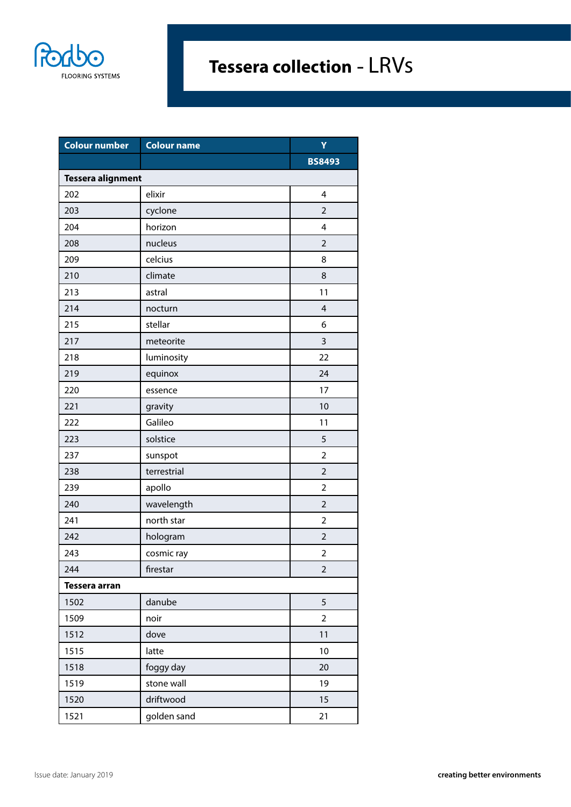

| <b>Colour number</b>     | <b>Colour name</b> | Ÿ              |
|--------------------------|--------------------|----------------|
|                          |                    | <b>BS8493</b>  |
| <b>Tessera alignment</b> |                    |                |
| 202                      | elixir             | 4              |
| 203                      | cyclone            | $\overline{2}$ |
| 204                      | horizon            | 4              |
| 208                      | nucleus            | $\overline{2}$ |
| 209                      | celcius            | 8              |
| 210                      | climate            | 8              |
| 213                      | astral             | 11             |
| 214                      | nocturn            | $\overline{4}$ |
| 215                      | stellar            | 6              |
| 217                      | meteorite          | 3              |
| 218                      | luminosity         | 22             |
| 219                      | equinox            | 24             |
| 220                      | essence            | 17             |
| 221                      | gravity            | 10             |
| 222                      | Galileo            | 11             |
| 223                      | solstice           | 5              |
| 237                      | sunspot            | $\overline{2}$ |
| 238                      | terrestrial        | $\overline{2}$ |
| 239                      | apollo             | $\overline{2}$ |
| 240                      | wavelength         | $\overline{2}$ |
| 241                      | north star         | $\overline{2}$ |
| 242                      | hologram           | $\overline{2}$ |
| 243                      | cosmic ray         | $\overline{2}$ |
| 244                      | firestar           | 2              |
| <b>Tessera arran</b>     |                    |                |
| 1502                     | danube             | 5              |
| 1509                     | noir               | $\overline{2}$ |
| 1512                     | dove               | 11             |
| 1515                     | latte              | $10$           |
| 1518                     | foggy day          | 20             |
| 1519                     | stone wall         | 19             |
| 1520                     | driftwood          | 15             |
| 1521                     | golden sand        | 21             |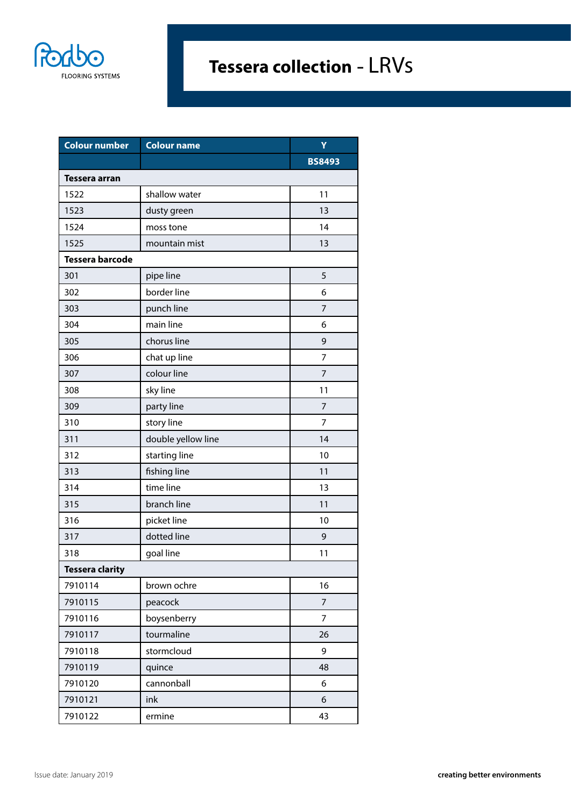

| <b>Colour number</b>   | <b>Colour name</b> | Ÿ              |
|------------------------|--------------------|----------------|
|                        |                    | <b>BS8493</b>  |
| Tessera arran          |                    |                |
| 1522                   | shallow water      | 11             |
| 1523                   | dusty green        | 13             |
| 1524                   | moss tone          | 14             |
| 1525                   | mountain mist      | 13             |
| <b>Tessera barcode</b> |                    |                |
| 301                    | pipe line          | 5              |
| 302                    | border line        | 6              |
| 303                    | punch line         | $\overline{7}$ |
| 304                    | main line          | 6              |
| 305                    | chorus line        | 9              |
| 306                    | chat up line       | $\overline{7}$ |
| 307                    | colour line        | $\overline{7}$ |
| 308                    | sky line           | 11             |
| 309                    | party line         | $\overline{7}$ |
| 310                    | story line         | 7              |
| 311                    | double yellow line | 14             |
| 312                    | starting line      | 10             |
| 313                    | fishing line       | 11             |
| 314                    | time line          | 13             |
| 315                    | branch line        | 11             |
| 316                    | picket line        | 10             |
| 317                    | dotted line        | 9              |
| 318                    | goal line          | 11             |
| <b>Tessera clarity</b> |                    |                |
| 7910114                | brown ochre        | 16             |
| 7910115                | peacock            | $\overline{7}$ |
| 7910116                | boysenberry        | $\overline{7}$ |
| 7910117                | tourmaline         | 26             |
| 7910118                | stormcloud         | 9              |
| 7910119                | quince             | 48             |
| 7910120                | cannonball         | 6              |
| 7910121                | ink                | 6              |
| 7910122                | ermine             | 43             |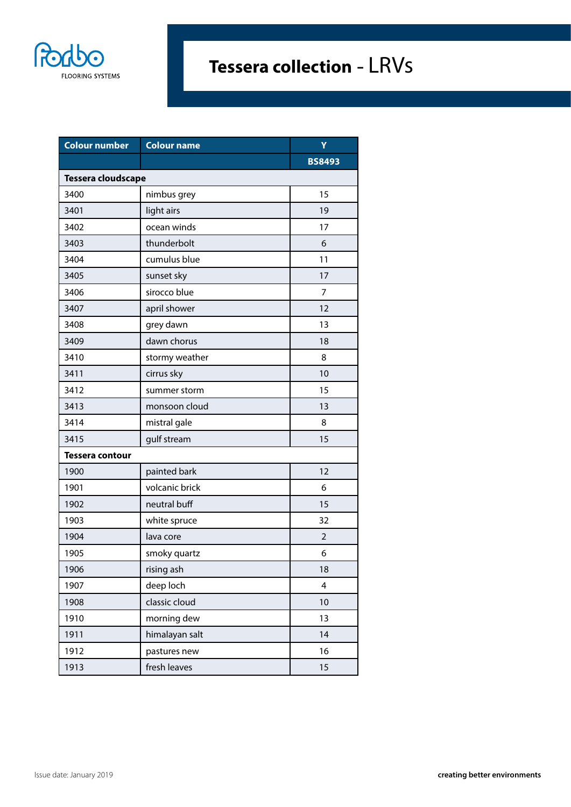

| <b>Colour number</b>   | <b>Colour name</b> | Ÿ              |
|------------------------|--------------------|----------------|
|                        |                    | <b>BS8493</b>  |
| Tessera cloudscape     |                    |                |
| 3400                   | nimbus grey        | 15             |
| 3401                   | light airs         | 19             |
| 3402                   | ocean winds        | 17             |
| 3403                   | thunderbolt        | 6              |
| 3404                   | cumulus blue       | 11             |
| 3405                   | sunset sky         | 17             |
| 3406                   | sirocco blue       | 7              |
| 3407                   | april shower       | 12             |
| 3408                   | grey dawn          | 13             |
| 3409                   | dawn chorus        | 18             |
| 3410                   | stormy weather     | 8              |
| 3411                   | cirrus sky         | 10             |
| 3412                   | summer storm       | 15             |
| 3413                   | monsoon cloud      | 13             |
| 3414                   | mistral gale       | 8              |
| 3415                   | gulf stream        | 15             |
| <b>Tessera contour</b> |                    |                |
| 1900                   | painted bark       | 12             |
| 1901                   | volcanic brick     | 6              |
| 1902                   | neutral buff       | 15             |
| 1903                   | white spruce       | 32             |
| 1904                   | lava core          | $\overline{2}$ |
| 1905                   | smoky quartz       | 6              |
| 1906                   | rising ash         | 18             |
| 1907                   | deep loch          | 4              |
| 1908                   | classic cloud      | 10             |
| 1910                   | morning dew        | 13             |
| 1911                   | himalayan salt     | 14             |
| 1912                   | pastures new       | 16             |
| 1913                   | fresh leaves       | 15             |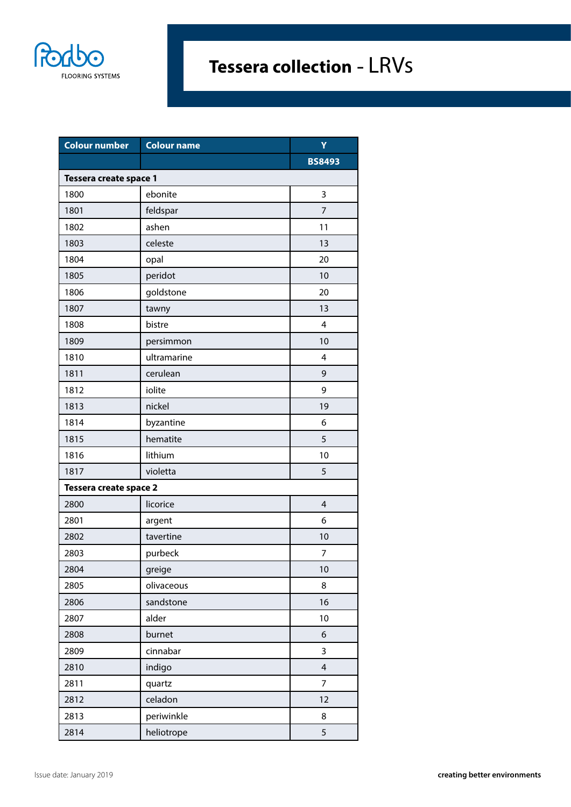

| <b>Colour number</b>   | <b>Colour name</b> | Ÿ              |
|------------------------|--------------------|----------------|
|                        |                    | <b>BS8493</b>  |
| Tessera create space 1 |                    |                |
| 1800                   | ebonite            | 3              |
| 1801                   | feldspar           | $\overline{7}$ |
| 1802                   | ashen              | 11             |
| 1803                   | celeste            | 13             |
| 1804                   | opal               | 20             |
| 1805                   | peridot            | 10             |
| 1806                   | goldstone          | 20             |
| 1807                   | tawny              | 13             |
| 1808                   | bistre             | 4              |
| 1809                   | persimmon          | 10             |
| 1810                   | ultramarine        | 4              |
| 1811                   | cerulean           | 9              |
| 1812                   | iolite             | 9              |
| 1813                   | nickel             | 19             |
| 1814                   | byzantine          | 6              |
| 1815                   | hematite           | 5              |
| 1816                   | lithium            | 10             |
| 1817                   | violetta           | 5              |
| Tessera create space 2 |                    |                |
| 2800                   | licorice           | 4              |
| 2801                   | argent             | 6              |
| 2802                   | tavertine          | 10             |
| 2803                   | purbeck            | $\overline{7}$ |
| 2804                   | greige             | 10             |
| 2805                   | olivaceous         | 8              |
| 2806                   | sandstone          | 16             |
| 2807                   | alder              | 10             |
| 2808                   | burnet             | 6              |
| 2809                   | cinnabar           | 3              |
| 2810                   | indigo             | $\overline{4}$ |
| 2811                   | quartz             | 7              |
| 2812                   | celadon            | 12             |
| 2813                   | periwinkle         | 8              |
| 2814                   | heliotrope         | 5              |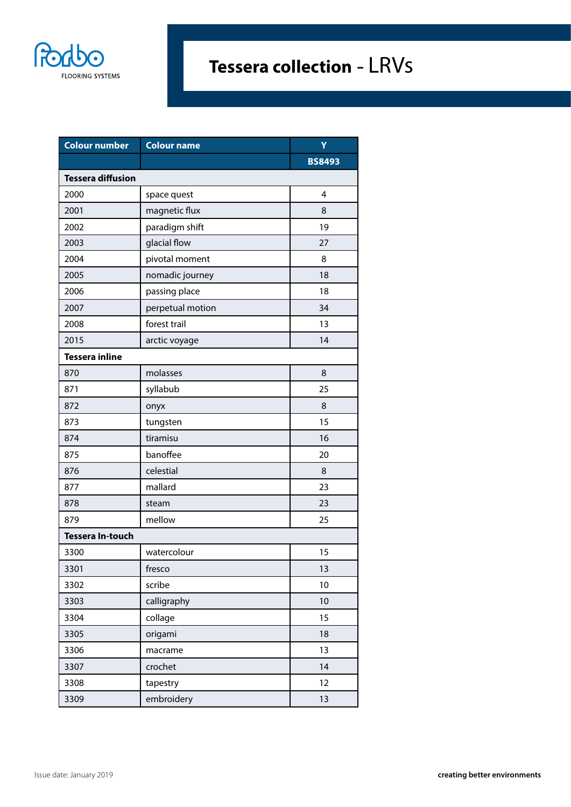

| Colour number            | <b>Colour name</b> | Y             |
|--------------------------|--------------------|---------------|
|                          |                    | <b>BS8493</b> |
| <b>Tessera diffusion</b> |                    |               |
| 2000                     | space quest        | 4             |
| 2001                     | magnetic flux      | 8             |
| 2002                     | paradigm shift     | 19            |
| 2003                     | glacial flow       | 27            |
| 2004                     | pivotal moment     | 8             |
| 2005                     | nomadic journey    | 18            |
| 2006                     | passing place      | 18            |
| 2007                     | perpetual motion   | 34            |
| 2008                     | forest trail       | 13            |
| 2015                     | arctic voyage      | 14            |
| <b>Tessera inline</b>    |                    |               |
| 870                      | molasses           | 8             |
| 871                      | syllabub           | 25            |
| 872                      | onyx               | 8             |
| 873                      | tungsten           | 15            |
| 874                      | tiramisu           | 16            |
| 875                      | banoffee           | 20            |
| 876                      | celestial          | 8             |
| 877                      | mallard            | 23            |
| 878                      | steam              | 23            |
| 879                      | mellow             | 25            |
| <b>Tessera In-touch</b>  |                    |               |
| 3300                     | watercolour        | 15            |
| 3301                     | fresco             | 13            |
| 3302                     | scribe             | 10            |
| 3303                     | calligraphy        | 10            |
| 3304                     | collage            | 15            |
| 3305                     | origami            | 18            |
| 3306                     | macrame            | 13            |
| 3307                     | crochet            | 14            |
| 3308                     | tapestry           | 12            |
| 3309                     | embroidery         | 13            |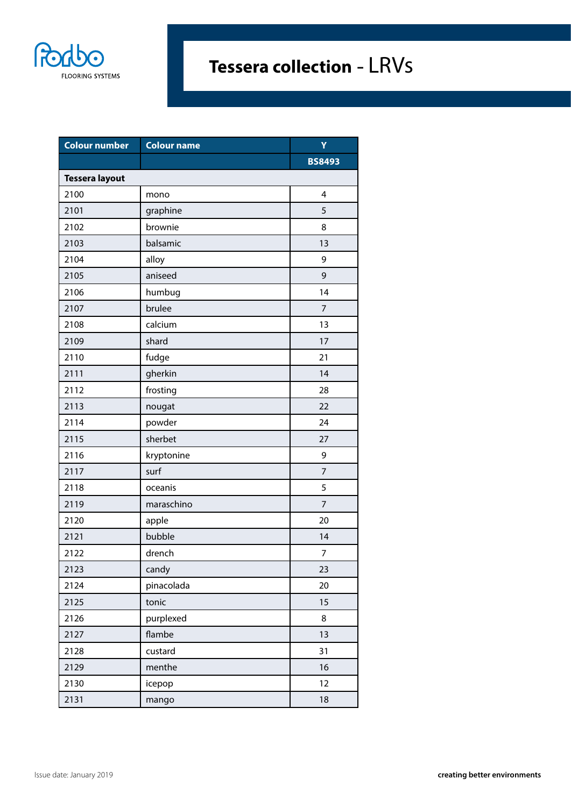

| <b>Colour number</b>  | <b>Colour name</b> | Ÿ              |
|-----------------------|--------------------|----------------|
|                       |                    | <b>BS8493</b>  |
| <b>Tessera layout</b> |                    |                |
| 2100                  | mono               | 4              |
| 2101                  | graphine           | 5              |
| 2102                  | brownie            | 8              |
| 2103                  | balsamic           | 13             |
| 2104                  | alloy              | 9              |
| 2105                  | aniseed            | 9              |
| 2106                  | humbug             | 14             |
| 2107                  | brulee             | $\overline{7}$ |
| 2108                  | calcium            | 13             |
| 2109                  | shard              | 17             |
| 2110                  | fudge              | 21             |
| 2111                  | gherkin            | 14             |
| 2112                  | frosting           | 28             |
| 2113                  | nougat             | 22             |
| 2114                  | powder             | 24             |
| 2115                  | sherbet            | 27             |
| 2116                  | kryptonine         | 9              |
| 2117                  | surf               | $\overline{7}$ |
| 2118                  | oceanis            | 5              |
| 2119                  | maraschino         | $\overline{7}$ |
| 2120                  | apple              | 20             |
| 2121                  | bubble             | 14             |
| 2122                  | drench             | $\overline{7}$ |
| 2123                  | candy              | 23             |
| 2124                  | pinacolada         | 20             |
| 2125                  | tonic              | 15             |
| 2126                  | purplexed          | 8              |
| 2127                  | flambe             | 13             |
| 2128                  | custard            | 31             |
| 2129                  | menthe             | 16             |
| 2130                  | icepop             | 12             |
| 2131                  | mango              | 18             |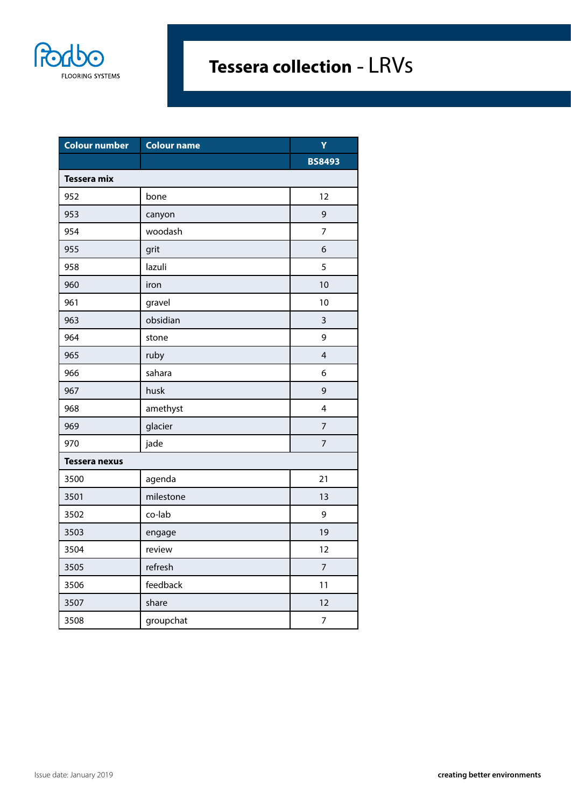

| <b>Colour number</b> | <b>Colour name</b> | Ÿ                       |
|----------------------|--------------------|-------------------------|
|                      |                    | <b>BS8493</b>           |
| <b>Tessera mix</b>   |                    |                         |
| 952                  | bone               | 12                      |
| 953                  | canyon             | 9                       |
| 954                  | woodash            | $\overline{7}$          |
| 955                  | grit               | 6                       |
| 958                  | lazuli             | 5                       |
| 960                  | iron               | 10                      |
| 961                  | gravel             | 10                      |
| 963                  | obsidian           | $\overline{3}$          |
| 964                  | stone              | 9                       |
| 965                  | ruby               | $\overline{\mathbf{4}}$ |
| 966                  | sahara             | 6                       |
| 967                  | husk               | 9                       |
| 968                  | amethyst           | 4                       |
| 969                  | glacier            | $\overline{7}$          |
| 970                  | jade               | $\overline{7}$          |
| <b>Tessera nexus</b> |                    |                         |
| 3500                 | agenda             | 21                      |
| 3501                 | milestone          | 13                      |
| 3502                 | co-lab             | 9                       |
| 3503                 | engage             | 19                      |
| 3504                 | review             | 12                      |
| 3505                 | refresh            | 7                       |
| 3506                 | feedback           | 11                      |
| 3507                 | share              | 12                      |
| 3508                 | groupchat          | $\overline{7}$          |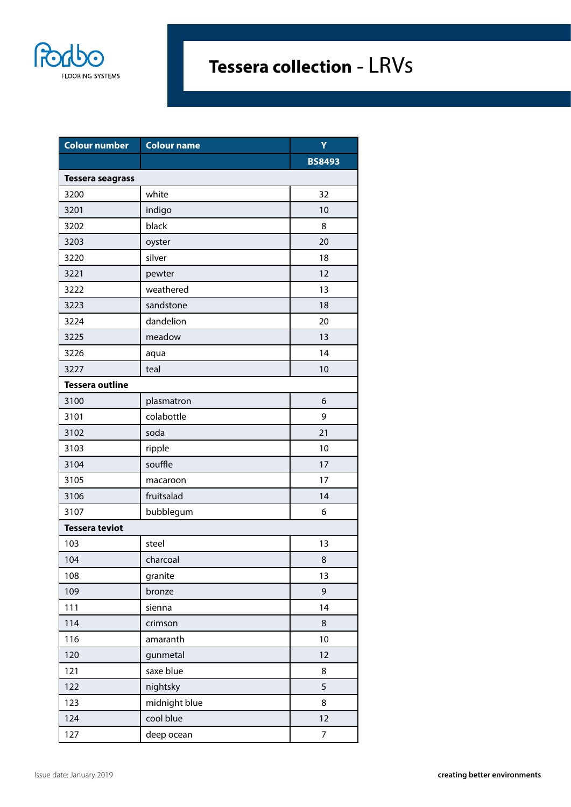

| <b>Colour number</b>    | <b>Colour name</b> | Y             |
|-------------------------|--------------------|---------------|
|                         |                    | <b>BS8493</b> |
| <b>Tessera seagrass</b> |                    |               |
| 3200                    | white              | 32            |
| 3201                    | indigo             | 10            |
| 3202                    | black              | 8             |
| 3203                    | oyster             | 20            |
| 3220                    | silver             | 18            |
| 3221                    | pewter             | 12            |
| 3222                    | weathered          | 13            |
| 3223                    | sandstone          | 18            |
| 3224                    | dandelion          | 20            |
| 3225                    | meadow             | 13            |
| 3226                    | aqua               | 14            |
| 3227                    | teal               | 10            |
| <b>Tessera outline</b>  |                    |               |
| 3100                    | plasmatron         | 6             |
| 3101                    | colabottle         | 9             |
| 3102                    | soda               | 21            |
| 3103                    | ripple             | 10            |
| 3104                    | souffle            | 17            |
| 3105                    | macaroon           | 17            |
| 3106                    | fruitsalad         | 14            |
| 3107                    | bubblegum          | 6             |
| <b>Tessera teviot</b>   |                    |               |
| 103                     | steel              | 13            |
| 104                     | charcoal           | 8             |
| 108                     | granite            | 13            |
| 109                     | bronze             | 9             |
| 111                     | sienna             | 14            |
| 114                     | crimson            | 8             |
| 116                     | amaranth           | 10            |
| 120                     | gunmetal           | 12            |
| 121                     | saxe blue          | 8             |
| 122                     | nightsky           | 5             |
| 123                     | midnight blue      | 8             |
| 124                     | cool blue          | 12            |
| 127                     | deep ocean         | 7             |